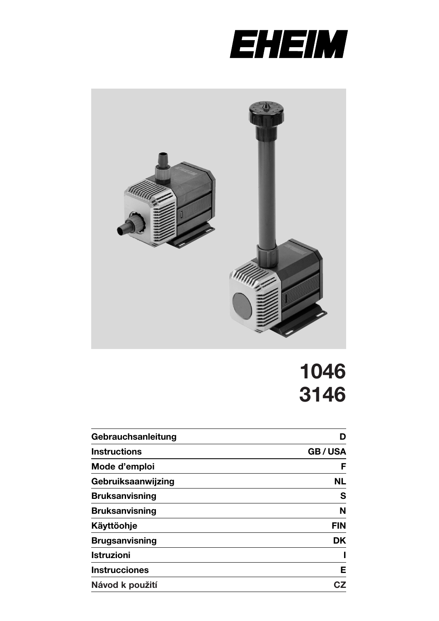



# **1046 3146**

| Gebrauchsanleitung    | D             |  |  |
|-----------------------|---------------|--|--|
| <b>Instructions</b>   | <b>GB/USA</b> |  |  |
| Mode d'emploi         | F             |  |  |
| Gebruiksaanwijzing    | <b>NL</b>     |  |  |
| <b>Bruksanvisning</b> | s             |  |  |
| <b>Bruksanvisning</b> | N             |  |  |
| Käyttöohje            | <b>FIN</b>    |  |  |
| <b>Brugsanvisning</b> | DK.           |  |  |
| <b>Istruzioni</b>     |               |  |  |
| <b>Instrucciones</b>  | Е             |  |  |
| Návod k použití       | CZ            |  |  |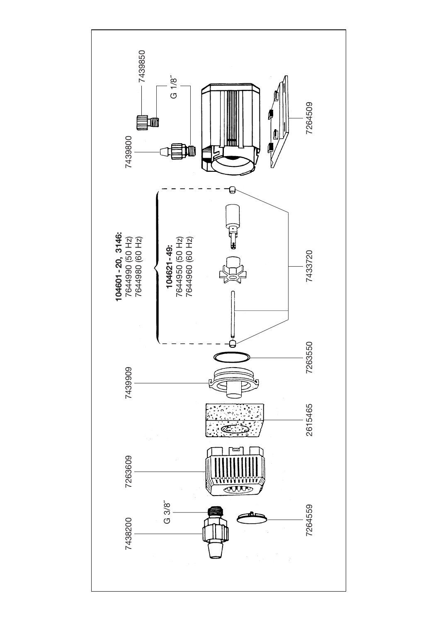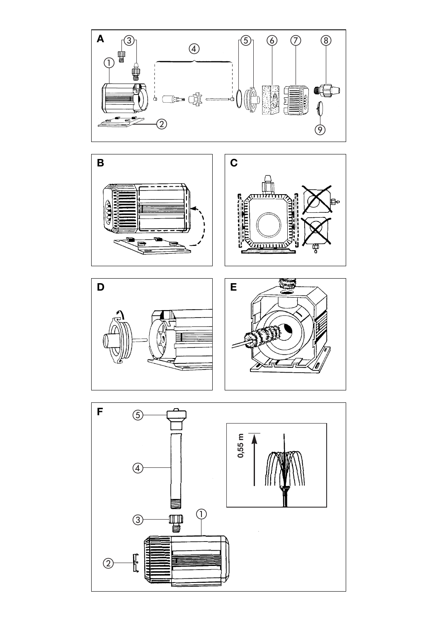



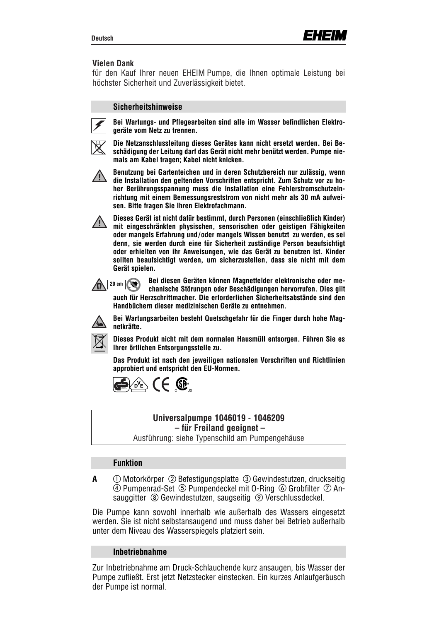#### **Vielen Dank**

für den Kauf Ihrer neuen EHEIM Pumpe, die Ihnen optimale Leistung bei höchster Sicherheit und Zuverlässigkeit bietet.

#### **Sicherheitshinweise**



**Bei Wartungs- und Pflegearbeiten sind alle im Wasser befindlichen Elektrogeräte vom Netz zu trennen.**



**Die Netzanschlussleitung dieses Gerätes kann nicht ersetzt werden. Bei Beschädigung der Leitung darf das Gerät nicht mehr benützt werden. Pumpe niemals am Kabel tragen; Kabel nicht knicken.**



**Benutzung bei Gartenteichen und in deren Schutzbereich nur zulässig, wenn die Installation den geltenden Vorschriften entspricht. Zum Schutz vor zu hoher Berührungsspannung muss die Installation eine Fehlerstromschutzeinrichtung mit einem Bemessungsreststrom von nicht mehr als 30 mA aufweisen. Bitte fragen Sie Ihren Elektrofachmann.**



**Dieses Gerät ist nicht dafür bestimmt, durch Personen (einschließlich Kinder) mit eingeschränkten physischen, sensorischen oder geistigen Fähigkeiten oder mangels Erfahrung und/oder mangels Wissen benutzt zu werden, es sei denn, sie werden durch eine für Sicherheit zuständige Person beaufsichtigt oder erhielten von ihr Anweisungen, wie das Gerät zu benutzen ist. Kinder sollten beaufsichtigt werden, um sicherzustellen, dass sie nicht mit dem Gerät spielen.**

**Bei diesen Geräten können Magnetfelder elektronische oder mechanische Störungen oder Beschädigungen hervorrufen. Dies gilt auch für Herzschrittmacher. Die erforderlichen Sicherheitsabstände sind den Handbüchern dieser medizinischen Geräte zu entnehmen.**  $20$  cm  $\sqrt{20}$ 



**Bei Wartungsarbeiten besteht Quetschgefahr für die Finger durch hohe Magnetkräfte.**



**Dieses Produkt nicht mit dem normalen Hausmüll entsorgen. Führen Sie es Ihrer örtlichen Entsorgungsstelle zu.**

**Das Produkt ist nach den jeweiligen nationalen Vorschriften und Richtlinien approbiert und entspricht den EU-Normen.**



### **Universalpumpe 1046019 - 1046209 – für Freiland geeignet –**

Ausführung: siehe Typenschild am Pumpengehäuse

### **Funktion**

A  $\bigcirc$  Motorkörper  $\oslash$  Befestigungsplatte  $\oslash$  Gewindestutzen, druckseitig **4) Pumpenrad-Set (5) Pumpendeckel mit O-Ring (6) Grobfilter (7) An**sauggitter <sup>®</sup> Gewindestutzen, saugseitig <sup>®</sup> Verschlussdeckel.

Die Pumpe kann sowohl innerhalb wie außerhalb des Wassers eingesetzt werden. Sie ist nicht selbstansaugend und muss daher bei Betrieb außerhalb unter dem Niveau des Wasserspiegels platziert sein.

#### **Inbetriebnahme**

Zur Inbetriebnahme am Druck-Schlauchende kurz ansaugen, bis Wasser der Pumpe zufließt. Erst jetzt Netzstecker einstecken. Ein kurzes Anlaufgeräusch der Pumpe ist normal.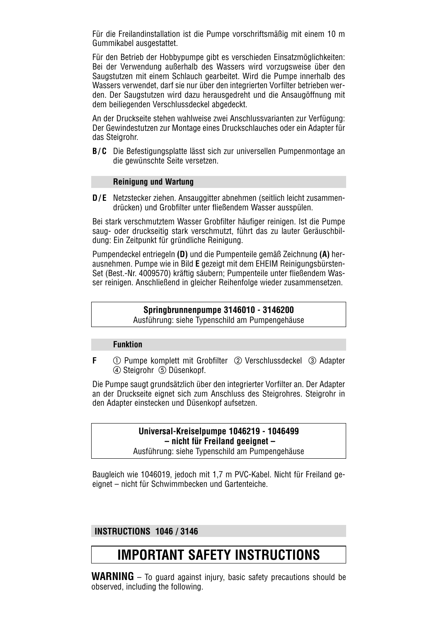Für die Freilandinstallation ist die Pumpe vorschriftsmäßig mit einem 10 m Gummikabel ausgestattet.

Für den Betrieb der Hobbypumpe gibt es verschieden Einsatzmöglichkeiten: Bei der Verwendung außerhalb des Wassers wird vorzugsweise über den Saugstutzen mit einem Schlauch gearbeitet. Wird die Pumpe innerhalb des Wassers verwendet, darf sie nur über den integrierten Vorfilter betrieben werden. Der Saugstutzen wird dazu herausgedreht und die Ansaugöffnung mit dem beiliegenden Verschlussdeckel abgedeckt.

An der Druckseite stehen wahlweise zwei Anschlussvarianten zur Verfügung: Der Gewindestutzen zur Montage eines Druckschlauches oder ein Adapter für das Steigrohr.

**B/C** Die Befestigungsplatte lässt sich zur universellen Pumpenmontage an die gewünschte Seite versetzen.

#### **Reinigung und Wartung**

**D/E** Netzstecker ziehen. Ansauggitter abnehmen (seitlich leicht zusammendrücken) und Grobfilter unter fließendem Wasser ausspülen.

Bei stark verschmutztem Wasser Grobfilter häufiger reinigen. Ist die Pumpe saug- oder druckseitig stark verschmutzt, führt das zu lauter Geräuschbildung: Ein Zeitpunkt für gründliche Reinigung.

Pumpendeckel entriegeln **(D)** und die Pumpenteile gemäß Zeichnung **(A)** herausnehmen. Pumpe wie in Bild **E** gezeigt mit dem EHEIM Reinigungsbürsten-Set (Best.-Nr. 4009570) kräftig säubern; Pumpenteile unter fließendem Wasser reinigen. Anschließend in gleicher Reihenfolge wieder zusammensetzen.

#### **Springbrunnenpumpe 3146010 - 3146200**

Ausführung: siehe Typenschild am Pumpengehäuse

#### **Funktion**

**F**  $\odot$  Pumpe komplett mit Grobfilter  $\oslash$  Verschlussdeckel  $\oslash$  Adapter Steigrohr Düsenkopf.

Die Pumpe saugt grundsätzlich über den integrierter Vorfilter an. Der Adapter an der Druckseite eignet sich zum Anschluss des Steigrohres. Steigrohr in den Adapter einstecken und Düsenkopf aufsetzen.

## **Universal-Kreiselpumpe 1046219 - 1046499 – nicht für Freiland geeignet –**

Ausführung: siehe Typenschild am Pumpengehäuse

Baugleich wie 1046019, jedoch mit 1,7 m PVC-Kabel. Nicht für Freiland geeignet – nicht für Schwimmbecken und Gartenteiche.

### **INSTRUCTIONS 1046 / 3146**

## **IMPORTANT SAFETY INSTRUCTIONS**

**WARNING** – To guard against injury, basic safety precautions should be observed, including the following.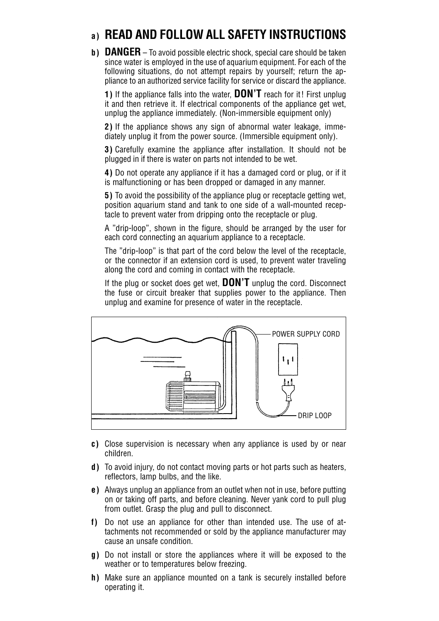## **a) READ AND FOLLOW ALL SAFETY INSTRUCTIONS**

**b) DANGER** – To avoid possible electric shock, special care should be taken since water is employed in the use of aquarium equipment. For each of the following situations, do not attempt repairs by yourself; return the appliance to an authorized service facility for service or discard the appliance.

**1)** If the appliance falls into the water, **DON'T** reach for it! First unplug it and then retrieve it. If electrical components of the appliance get wet, unplug the appliance immediately. (Non-immersible equipment only)

**2)** If the appliance shows any sign of abnormal water leakage, immediately unplug it from the power source. (Immersible equipment only).

**3)** Carefully examine the appliance after installation. It should not be plugged in if there is water on parts not intended to be wet.

**4)** Do not operate any appliance if it has a damaged cord or plug, or if it is malfunctioning or has been dropped or damaged in any manner.

**5)** To avoid the possibility of the appliance plug or receptacle getting wet, position aquarium stand and tank to one side of a wall-mounted receptacle to prevent water from dripping onto the receptacle or plug.

A "drip-loop", shown in the figure, should be arranged by the user for each cord connecting an aquarium appliance to a receptacle.

The "drip-loop" is that part of the cord below the level of the receptacle, or the connector if an extension cord is used, to prevent water traveling along the cord and coming in contact with the receptacle.

If the plug or socket does get wet, **DON'T** unplug the cord. Disconnect the fuse or circuit breaker that supplies power to the appliance. Then unplug and examine for presence of water in the receptacle.



- **c)** Close supervision is necessary when any appliance is used by or near children.
- **d)** To avoid injury, do not contact moving parts or hot parts such as heaters, reflectors, lamp bulbs, and the like.
- **e)** Always unplug an appliance from an outlet when not in use, before putting on or taking off parts, and before cleaning. Never yank cord to pull plug from outlet. Grasp the plug and pull to disconnect.
- **f)** Do not use an appliance for other than intended use. The use of attachments not recommended or sold by the appliance manufacturer may cause an unsafe condition.
- **g)** Do not install or store the appliances where it will be exposed to the weather or to temperatures below freezing.
- **h)** Make sure an appliance mounted on a tank is securely installed before operating it.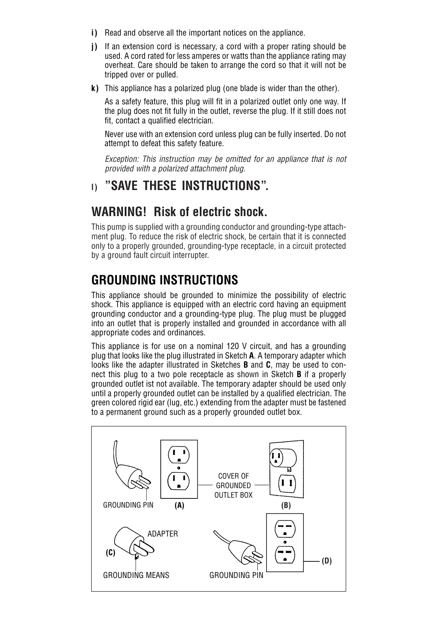- **i)** Read and observe all the important notices on the appliance.
- **j)** If an extension cord is necessary, a cord with a proper rating should be used. A cord rated for less amperes or watts than the appliance rating may overheat. Care should be taken to arrange the cord so that it will not be tripped over or pulled.
- **k)** This appliance has a polarized plug (one blade is wider than the other).

As a safety feature, this plug will fit in a polarized outlet only one way. If the plug does not fit fully in the outlet, reverse the plug. If it still does not fit, contact a qualified electrician.

Never use with an extension cord unless plug can be fully inserted. Do not attempt to defeat this safety feature.

*Exception: This instruction may be omitted for an appliance that is not provided with a polarized attachment plug.*

## **l) "SAVE THESE INSTRUCTIONS".**

## **WARNING! Risk of electric shock.**

This pump is supplied with a grounding conductor and grounding-type attachment plug. To reduce the risk of electric shock, be certain that it is connected only to a properly grounded, grounding-type receptacle, in a circuit protected by a ground fault circuit interrupter.

## **GROUNDING INSTRUCTIONS**

This appliance should be grounded to minimize the possibility of electric shock. This appliance is equipped with an electric cord having an equipment grounding conductor and a grounding-type plug. The plug must be plugged into an outlet that is properly installed and grounded in accordance with all appropriate codes and ordinances.

This appliance is for use on a nominal 120 V circuit, and has a grounding plug that looks like the plug illustrated in Sketch **A**. A temporary adapter which looks like the adapter illustrated in Sketches **B** and **C**, may be used to connect this plug to a two pole receptacle as shown in Sketch **B** if a properly grounded outlet ist not available. The temporary adapter should be used only until a properly grounded outlet can be installed by a qualified electrician. The green colored rigid ear (lug, etc.) extending from the adapter must be fastened to a permanent ground such as a properly grounded outlet box.

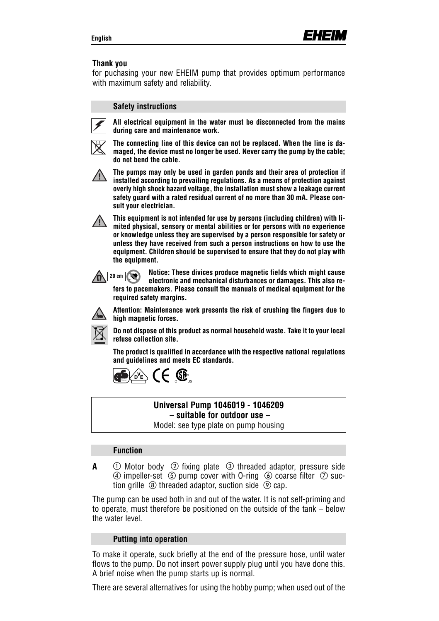#### **Thank you**

for puchasing your new EHEIM pump that provides optimum performance with maximum safety and reliability.

#### **Safety instructions**



**All electrical equipment in the water must be disconnected from the mains during care and maintenance work.**



**The connecting line of this device can not be replaced. When the line is damaged, the device must no longer be used. Never carry the pump by the cable; do not bend the cable.**



**The pumps may only be used in garden ponds and their area of protection if installed according to prevailing regulations. As a means of protection against overly high shock hazard voltage, the installation must show a leakage current safety guard with a rated residual current of no more than 30 mA. Please consult your electrician.**

**This equipment is not intended for use by persons (including children) with limited physical, sensory or mental abilities or for persons with no experience or knowledge unless they are supervised by a person responsible for safety or unless they have received from such a person instructions on how to use the equipment. Children should be supervised to ensure that they do not play with the equipment.**

**Notice: These divices produce magnetic fields which might cause electronic and mechanical disturbances or damages. This also refers to pacemakers. Please consult the manuals of medical equipment for the required safety margins.**   $\mathbf{R}$  | 20 cm  $|\mathbf{R}|$ 



**Attention: Maintenance work presents the risk of crushing the fingers due to high magnetic forces.**

**Do not dispose of this product as normal household waste. Take it to your local refuse collection site.**

**The product is qualified in accordance with the respective national regulations and guidelines and meets EC standards.**



#### **Universal Pump 1046019 - 1046209 – suitable for outdoor use –**

Model: see type plate on pump housing

### **Function**

**A**  $\bigcirc$  Motor body  $\oslash$  fixing plate  $\oslash$  threaded adaptor, pressure side (4) impeller-set  $\sigma$  pump cover with O-ring  $\sigma$  coarse filter  $\sigma$  suction grille  $\circledR$  threaded adaptor, suction side  $\circledR$  cap.

The pump can be used both in and out of the water. It is not self-priming and to operate, must therefore be positioned on the outside of the tank – below the water level.

#### **Putting into operation**

To make it operate, suck briefly at the end of the pressure hose, until water flows to the pump. Do not insert power supply plug until you have done this. A brief noise when the pump starts up is normal.

There are several alternatives for using the hobby pump; when used out of the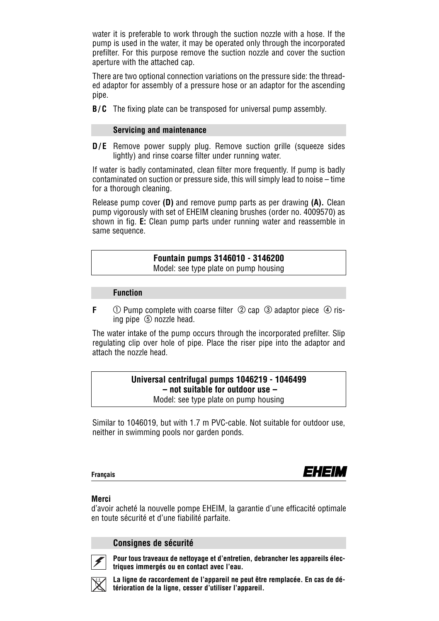water it is preferable to work through the suction nozzle with a hose. If the pump is used in the water, it may be operated only through the incorporated prefilter. For this purpose remove the suction nozzle and cover the suction aperture with the attached cap.

There are two optional connection variations on the pressure side: the threaded adaptor for assembly of a pressure hose or an adaptor for the ascending pipe.

**B/C** The fixing plate can be transposed for universal pump assembly.

#### **Servicing and maintenance**

**D/E** Remove power supply plug. Remove suction grille (squeeze sides lightly) and rinse coarse filter under running water.

If water is badly contaminated, clean filter more frequently. If pump is badly contaminated on suction or pressure side, this will simply lead to noise – time for a thorough cleaning.

Release pump cover **(D)** and remove pump parts as per drawing **(A).** Clean pump vigorously with set of EHEIM cleaning brushes (order no. 4009570) as shown in fig. **E:** Clean pump parts under running water and reassemble in same sequence.

## **Fountain pumps 3146010 - 3146200**

Model: see type plate on pump housing

#### **Function**

**F**  $\bigcirc$  Pump complete with coarse filter  $\bigcirc$  cap  $\bigcirc$  adaptor piece  $\bigcirc$  rising pipe  $(5)$  nozzle head.

The water intake of the pump occurs through the incorporated prefilter. Slip regulating clip over hole of pipe. Place the riser pipe into the adaptor and attach the nozzle head.

## **Universal centrifugal pumps 1046219 - 1046499 – not suitable for outdoor use –**

Model: see type plate on pump housing

Similar to 1046019, but with 1.7 m PVC-cable. Not suitable for outdoor use, neither in swimming pools nor garden ponds.

**Français**



#### **Merci**

d'avoir acheté la nouvelle pompe EHEIM, la garantie d'une efficacité optimale en toute sécurité et d'une fiabilité parfaite.

**Consignes de sécurité**



**Pour tous traveaux de nettoyage et d'entretien, debrancher les appareils électriques immergés ou en contact avec l'eau.**



**La ligne de raccordement de l'appareil ne peut être remplacée. En cas de détérioration de la ligne, cesser d'utiliser l'appareil.**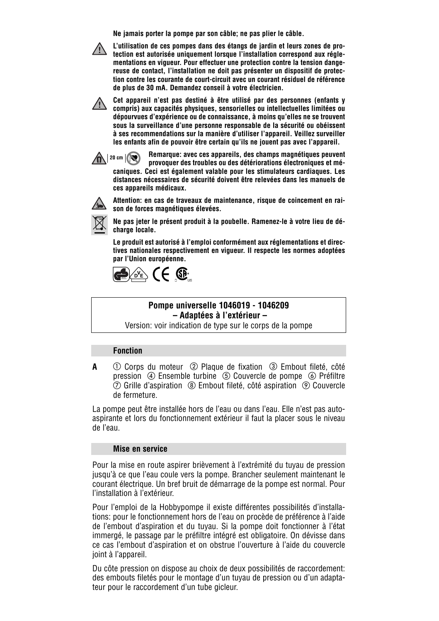**Ne jamais porter la pompe par son câble; ne pas plier le câble.**



**L'utilisation de ces pompes dans des étangs de jardin et leurs zones de protection est autorisée uniquement lorsque l'installation correspond aux réglementations en vigueur. Pour effectuer une protection contre la tension dangereuse de contact, l'installation ne doit pas présenter un dispositif de protection contre les courante de court-circuit avec un courant résiduel de référence de plus de 30 mA. Demandez conseil à votre électricien.**

**Cet appareil n'est pas destiné à être utilisé par des personnes (enfants y compris) aux capacités physiques, sensorielles ou intellectuelles limitées ou dépourvues d'expérience ou de connaissance, à moins qu'elles ne se trouvent sous la surveillance d'une personne responsable de la sécurité ou obéissent à ses recommendations sur la manière d'utiliser l'appareil. Veillez surveiller les enfants afin de pouvoir être certain qu'ils ne jouent pas avec l'appareil.**

**Remarque: avec ces appareils, des champs magnétiques peuvent provoquer des troubles ou des détériorations électroniques et mécaniques. Ceci est également valable pour les stimulateurs cardiaques. Les distances nécessaires de sécurité doivent être relevées dans les manuels de ces appareils médicaux.**  $\mathbf{R}$  | 20 cm  $\mathbf{R}$ 



**Attention: en cas de traveaux de maintenance, risque de coincement en raison de forces magnétiques élevées.**



**Ne pas jeter le présent produit à la poubelle. Ramenez-le à votre lieu de décharge locale.**

**Le produit est autorisé à l'emploi conformément aux réglementations et directives nationales respectivement en vigueur. Il respecte les normes adoptées par l'Union européenne.**



#### **Pompe universelle 1046019 - 1046209 – Adaptées à l'extérieur –**

Version: voir indication de type sur le corps de la pompe

#### **Fonction**

**A**  $\circ$  Corps du moteur  $\circ$  Plaque de fixation  $\circ$  Embout fileté, côté pression (4) Ensemble turbine (5) Couvercle de pompe (6) Préfiltre  $\oslash$  Grille d'aspiration  $\,\circledR$  Embout fileté, côté aspiration  $\,\circledR$  Couvercle de fermeture.

La pompe peut être installée hors de l'eau ou dans l'eau. Elle n'est pas autoaspirante et lors du fonctionnement extérieur il faut la placer sous le niveau de l'eau.

#### **Mise en service**

Pour la mise en route aspirer brièvement à l'extrémité du tuyau de pression jusqu'à ce que l'eau coule vers la pompe. Brancher seulement maintenant le courant électrique. Un bref bruit de démarrage de la pompe est normal. Pour l'installation à l'extérieur.

Pour l'emploi de la Hobbypompe il existe différentes possibilités d'installations: pour le fonctionnement hors de l'eau on procède de préférence à l'aide de l'embout d'aspiration et du tuyau. Si la pompe doit fonctionner à l'état immergé, le passage par le préfiltre intégré est obligatoire. On dévisse dans ce cas l'embout d'aspiration et on obstrue l'ouverture à l'aide du couvercle joint à l'appareil.

Du côte pression on dispose au choix de deux possibilités de raccordement: des embouts filetés pour le montage d'un tuyau de pression ou d'un adaptateur pour le raccordement d'un tube gicleur.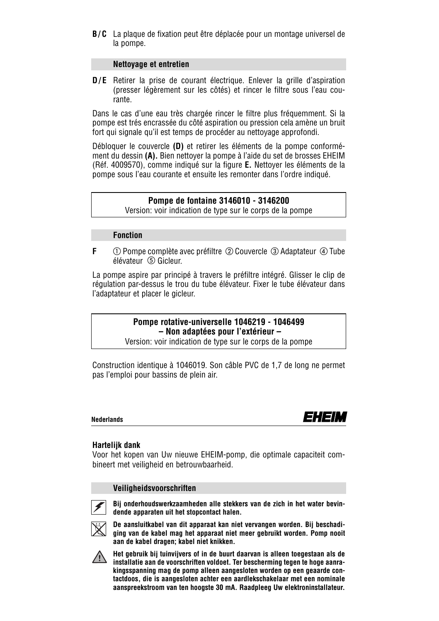**B/C** La plaque de fixation peut être déplacée pour un montage universel de la pompe.

#### **Nettoyage et entretien**

**D/E** Retirer la prise de courant électrique. Enlever la grille d'aspiration (presser légèrement sur les côtés) et rincer le filtre sous l'eau courante.

Dans le cas d'une eau très chargée rincer le filtre plus fréquemment. Si la pompe est trés encrassée du côté aspiration ou pression cela amène un bruit fort qui signale qu'il est temps de procéder au nettoyage approfondi.

Débloquer le couvercle **(D)** et retirer les éléments de la pompe conformément du dessin **(A).** Bien nettoyer la pompe à l'aide du set de brosses EHEIM (Réf. 4009570), comme indiqué sur la figure **E.** Nettoyer les éléments de la pompe sous l'eau courante et ensuite les remonter dans l'ordre indiqué.

#### **Pompe de fontaine 3146010 - 3146200**

Version: voir indication de type sur le corps de la pompe

#### **Fonction**

**F**  $\odot$  Pompe complète avec préfiltre  $\oslash$  Couvercle  $\oslash$  Adaptateur  $\oslash$  Tube élévateur Gicleur.

La pompe aspire par principé à travers le préfiltre intégré. Glisser le clip de régulation par-dessus le trou du tube élévateur. Fixer le tube élévateur dans l'adaptateur et placer le gicleur.

> **Pompe rotative-universelle 1046219 - 1046499 – Non adaptées pour l'extérieur –**

Version: voir indication de type sur le corps de la pompe

Construction identique à 1046019. Son câble PVC de 1,7 de long ne permet pas l'emploi pour bassins de plein air.

**Nederlands**



#### **Hartelijk dank**

Voor het kopen van Uw nieuwe EHEIM-pomp, die optimale capaciteit combineert met veiligheid en betrouwbaarheid.

#### **Veiligheidsvoorschriften**



**Bij onderhoudswerkzaamheden alle stekkers van de zich in het water bevin-**



**dende apparaten uit het stopcontact halen. De aansluitkabel van dit apparaat kan niet vervangen worden. Bij beschadi-**

**ging van de kabel mag het apparaat niet meer gebruikt worden. Pomp nooit aan de kabel dragen; kabel niet knikken.**



**Het gebruik bij tuinvijvers of in de buurt daarvan is alleen toegestaan als de installatie aan de voorschriften voldoet. Ter bescherming tegen te hoge aanrakingsspanning mag de pomp alleen aangesloten worden op een geaarde contactdoos, die is aangesloten achter een aardlekschakelaar met een nominale aanspreekstroom van ten hoogste 30 mA. Raadpleeg Uw elektroninstallateur.**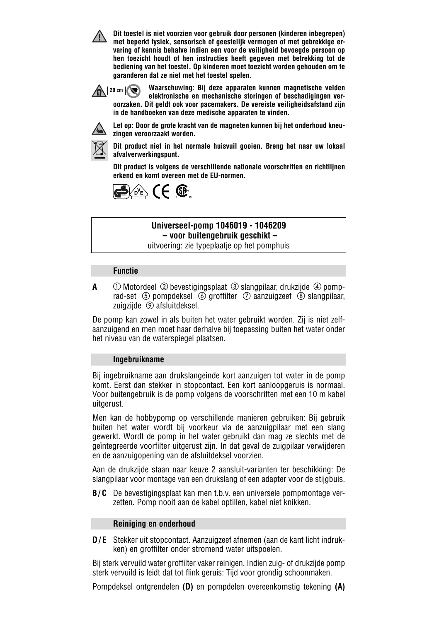**Dit toestel is niet voorzien voor gebruik door personen (kinderen inbegrepen) met beperkt fysiek, sensorisch of geestelijk vermogen of met gebrekkige ervaring of kennis behalve indien een voor de veiligheid bevoegde persoon op hen toezicht houdt of hen instructies heeft gegeven met betrekking tot de bediening van het toestel. Op kinderen moet toezicht worden gehouden om te garanderen dat ze niet met het toestel spelen.**



**Waarschuwing: Bij deze apparaten kunnen magnetische velden elektronische en mechanische storingen of beschadigingen veroorzaken. Dit geldt ook voor pacemakers. De vereiste veiligheidsafstand zijn in de handboeken van deze medische apparaten te vinden.**



**Let op: Door de grote kracht van de magneten kunnen bij het onderhoud kneuzingen veroorzaakt worden.**



**Dit product niet in het normale huisvuil gooien. Breng het naar uw lokaal afvalverwerkingspunt.**

**Dit product is volgens de verschillende nationale voorschriften en richtlijnen erkend en komt overeen met de EU-normen.**



#### **Universeel-pomp 1046019 - 1046209 – voor buitengebruik geschikt –**

uitvoering: zie typeplaatje op het pomphuis

#### **Functie**

**A**  $\Box$  Motordeel  $\oslash$  bevestigingsplaat  $\oslash$  slangpilaar, drukzijde  $\oslash$  pomprad-set  $\circled{S}$  pompdeksel  $\circled{S}$  groffilter  $\circled{S}$  aanzuigzeef  $\circled{S}$  slangpilaar, zuigzijde  $\circledcirc$  afsluitdeksel.

De pomp kan zowel in als buiten het water gebruikt worden. Zij is niet zelfaanzuigend en men moet haar derhalve bij toepassing buiten het water onder het niveau van de waterspiegel plaatsen.

#### **Ingebruikname**

Bij ingebruikname aan drukslangeinde kort aanzuigen tot water in de pomp komt. Eerst dan stekker in stopcontact. Een kort aanloopgeruis is normaal. Voor buitengebruik is de pomp volgens de voorschriften met een 10 m kabel uitgerust.

Men kan de hobbypomp op verschillende manieren gebruiken: Bij gebruik buiten het water wordt bij voorkeur via de aanzuigpilaar met een slang gewerkt. Wordt de pomp in het water gebruikt dan mag ze slechts met de geïntegreerde voorfilter uitgerust zijn. In dat geval de zuigpilaar verwijderen en de aanzuigopening van de afsluitdeksel voorzien.

Aan de drukzijde staan naar keuze 2 aansluit-varianten ter beschikking: De slangpilaar voor montage van een drukslang of een adapter voor de stijgbuis.

**B/C** De bevestigingsplaat kan men t.b.v. een universele pompmontage verzetten. Pomp nooit aan de kabel optillen, kabel niet knikken.

#### **Reiniging en onderhoud**

**D/E** Stekker uit stopcontact. Aanzuigzeef afnemen (aan de kant licht indrukken) en groffilter onder stromend water uitspoelen.

Bij sterk vervuild water groffilter vaker reinigen. Indien zuig- of drukzijde pomp sterk vervuild is leidt dat tot flink geruis: Tijd voor grondig schoonmaken.

Pompdeksel ontgrendelen **(D)** en pompdelen overeenkomstig tekening **(A)**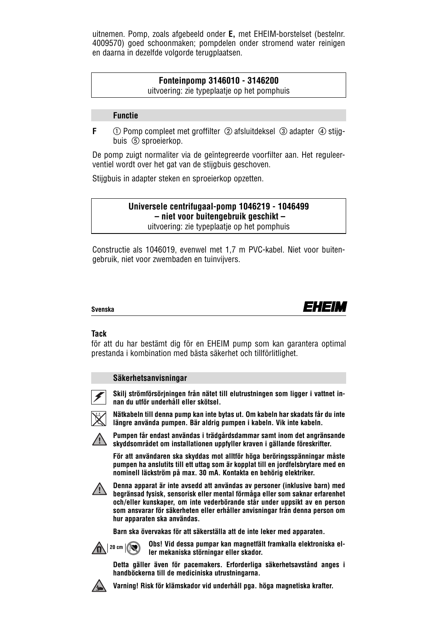uitnemen. Pomp, zoals afgebeeld onder **E,** met EHEIM-borstelset (bestelnr. 4009570) goed schoonmaken; pompdelen onder stromend water reinigen en daarna in dezelfde volgorde terugplaatsen.

## **Fonteinpomp 3146010 - 3146200**

uitvoering: zie typeplaatje op het pomphuis

#### **Functie**

**F**  $\Box$  Pomp compleet met groffilter  $\oslash$  afsluitdeksel  $\oslash$  adapter  $\oslash$  stijgbuis (5) sproeierkop.

De pomp zuigt normaliter via de geïntegreerde voorfilter aan. Het reguleerventiel wordt over het gat van de stijgbuis geschoven.

Stijgbuis in adapter steken en sproeierkop opzetten.

#### **Universele centrifugaal-pomp 1046219 - 1046499 – niet voor buitengebruik geschikt –** uitvoering: zie typeplaatje op het pomphuis

Constructie als 1046019, evenwel met 1,7 m PVC-kabel. Niet voor buitengebruik, niet voor zwembaden en tuinvijvers.

#### **Svenska**



#### **Tack**

för att du har bestämt dig för en EHEIM pump som kan garantera optimal prestanda i kombination med bästa säkerhet och tillförlitlighet.

#### **Säkerhetsanvisningar**



**Skilj strömförsörjningen från nätet till elutrustningen som ligger i vattnet innan du utför underhåll eller skötsel.**



**Nätkabeln till denna pump kan inte bytas ut. Om kabeln har skadats får du inte längre använda pumpen. Bär aldrig pumpen i kabeln. Vik inte kabeln.**



**Pumpen får endast användas i trädgårdsdammar samt inom det angränsande skyddsområdet om installationen uppfyller kraven i gällande föreskrifter.**

**För att användaren ska skyddas mot alltför höga beröringsspänningar måste pumpen ha anslutits till ett uttag som är kopplat till en jordfelsbrytare med en nominell läckström på max. 30 mA. Kontakta en behörig elektriker.**



**Denna apparat är inte avsedd att användas av personer (inklusive barn) med begränsad fysisk, sensorisk eller mental förmåga eller som saknar erfarenhet och/eller kunskaper, om inte vederbörande står under uppsikt av en person som ansvarar för säkerheten eller erhåller anvisningar från denna person om hur apparaten ska användas.**

**Barn ska övervakas för att säkerställa att de inte leker med apparaten.**



**Obs! Vid dessa pumpar kan magnetfält framkalla elektroniska eller mekaniska störningar eller skador.**





**Varning! Risk för klämskador vid underhåll pga. höga magnetiska krafter.**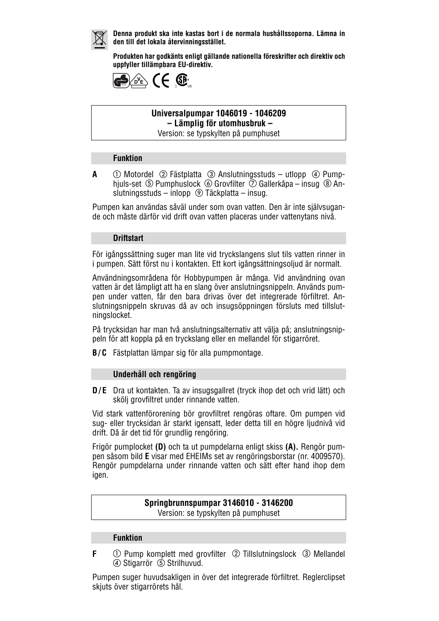

**Denna produkt ska inte kastas bort i de normala hushållssoporna. Lämna in den till det lokala återvinningsstället.**

**Produkten har godkänts enligt gällande nationella föreskrifter och direktiv och uppfyller tillämpbara EU-direktiv.**



#### **Universalpumpar 1046019 - 1046209 – Lämplig för utomhusbruk –** Version: se typskylten på pumphuset

#### **Funktion**

**A**  $\bigcirc$  Motordel  $\oslash$  Fästplatta  $\oslash$  Anslutningsstuds – utlopp  $\oslash$  Pumphjuls-set  $\circled{S}$  Pumphuslock  $\circled{S}$  Grovfilter  $\circled{S}$  Gallerkåpa – insug  $\circled{S}$  Anslutningsstuds – inlopp Täckplatta – insug.

Pumpen kan användas såväl under som ovan vatten. Den är inte självsugande och måste därför vid drift ovan vatten placeras under vattenytans nivå.

#### **Driftstart**

För igångssättning suger man lite vid tryckslangens slut tils vatten rinner in i pumpen. Sätt först nu i kontakten. Ett kort igångsättningsoljud är normalt.

Användningsområdena för Hobbypumpen är många. Vid användning ovan vatten är det lämpligt att ha en slang över anslutningsnippeln. Används pumpen under vatten, får den bara drivas över det integrerade förfiltret. Anslutningsnippeln skruvas då av och insugsöppningen försluts med tillslutningslocket.

På trycksidan har man två anslutningsalternativ att välja på; anslutningsnippeln för att koppla på en tryckslang eller en mellandel för stigarröret.

**B/C** Fästplattan lämpar sig för alla pumpmontage.

#### **Underhåll och rengöring**

**D/E** Dra ut kontakten. Ta av insugsgallret (tryck ihop det och vrid lätt) och skölj grovfiltret under rinnande vatten.

Vid stark vattenförorening bör grovfiltret rengöras oftare. Om pumpen vid sug- eller trycksidan är starkt igensatt, leder detta till en högre ljudnivå vid drift. Då är det tid för grundlig rengöring.

Frigör pumplocket **(D)** och ta ut pumpdelarna enligt skiss **(A).** Rengör pumpen såsom bild **E** visar med EHEIMs set av rengöringsborstar (nr. 4009570). Rengör pumpdelarna under rinnande vatten och sätt efter hand ihop dem igen.

## **Springbrunnspumpar 3146010 - 3146200**

Version: se typskylten på pumphuset

#### **Funktion**

**F**  $\bigcirc$  Pump komplett med grovfilter  $\bigcirc$  Tillslutningslock  $\bigcirc$  Mellandel 4) Stigarrör 5 Strilhuvud.

Pumpen suger huvudsakligen in över det integrerade förfiltret. Reglerclipset skjuts över stigarrörets hål.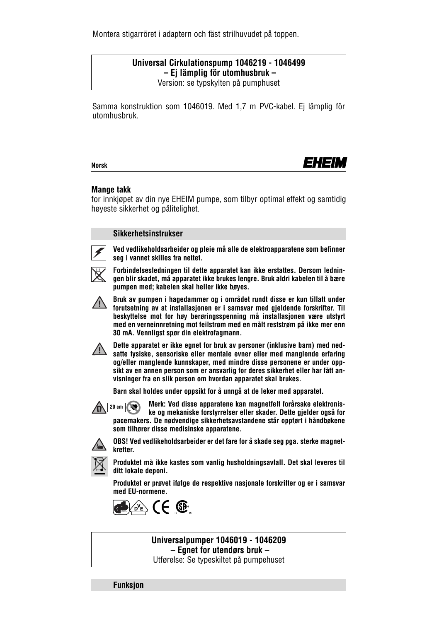Montera stigarröret i adaptern och fäst strilhuvudet på toppen.

#### **Universal Cirkulationspump 1046219 - 1046499 – Ej lämplig för utomhusbruk –** Version: se typskylten på pumphuset

Samma konstruktion som 1046019. Med 1,7 m PVC-kabel. Ej lämplig för utomhusbruk.

**Norsk**



#### **Mange takk**

for innkjøpet av din nye EHEIM pumpe, som tilbyr optimal effekt og samtidig høyeste sikkerhet og pålitelighet.

#### **Sikkerhetsinstrukser**



**Ved vedlikeholdsarbeider og pleie må alle de elektroapparatene som befinner seg i vannet skilles fra nettet.**



**Forbindelsesledningen til dette apparatet kan ikke erstattes. Dersom ledningen blir skadet, må apparatet ikke brukes lengre. Bruk aldri kabelen til å bære pumpen med; kabelen skal heller ikke bøyes.**



**Bruk av pumpen i hagedammer og i området rundt disse er kun tillatt under forutsetning av at installasjonen er i samsvar med gjeldende forskrifter. Til beskyttelse mot for høy berøringsspenning må installasjonen være utstyrt med en verneinnretning mot feilstrøm med en målt reststrøm på ikke mer enn 30 mA. Vennligst spør din elektrofagmann.**



**Dette apparatet er ikke egnet for bruk av personer (inklusive barn) med nedsatte fysiske, sensoriske eller mentale evner eller med manglende erfaring og/eller manglende kunnskaper, med mindre disse personene er under oppsikt av en annen person som er ansvarlig for deres sikkerhet eller har fått anvisninger fra en slik person om hvordan apparatet skal brukes.**

**Barn skal holdes under oppsikt for å unngå at de leker med apparatet.**



**Merk: Ved disse apparatene kan magnetfelt forårsake elektroniske og mekaniske forstyrrelser eller skader. Dette gjelder også for pacemakers. De nødvendige sikkerhetsavstandene står oppført i håndbøkene som tilhører disse medisinske apparatene.**



**OBS! Ved vedlikeholdsarbeider er det fare for å skade seg pga. sterke magnetkrefter.**



**Produktet må ikke kastes som vanlig husholdningsavfall. Det skal leveres til ditt lokale deponi.**

**Produktet er prøvet ifølge de respektive nasjonale forskrifter og er i samsvar med EU-normene.**



**Universalpumper 1046019 - 1046209 – Egnet for utendørs bruk –** Utførelse: Se typeskiltet på pumpehuset

**Funksjon**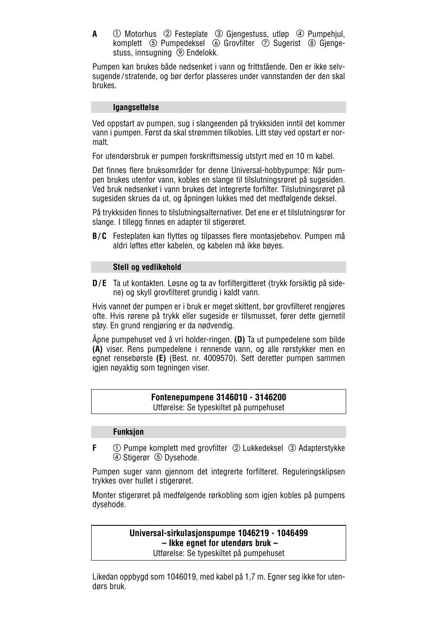**A**  $\bigcirc$  Motorhus  $\oslash$  Festeplate  $\oslash$  Gjengestuss, utløp  $\oslash$  Pumpehjul, komplett  $\circledS$  Pumpedeksel  $\circledS$  Grovfilter  $\circled{T}$  Sugerist  $\circledR$  Giengestuss, innsugning <sup>(2)</sup> Endelokk.

Pumpen kan brukes både nedsenket i vann og frittstående. Den er ikke selvsugende /stratende, og bør derfor plasseres under vannstanden der den skal brukes.

#### **Igangsettelse**

Ved oppstart av pumpen, sug i slangeenden på trykksiden inntil det kommer vann i pumpen. Først da skal strømmen tilkobles. Litt støy ved opstart er normalt.

For utendørsbruk er pumpen forskriftsmessig utstyrt med en 10 m kabel.

Det finnes flere bruksområder for denne Universal-hobbypumpe: Når pumpen brukes utenfor vann, kobles en slange til tilslutningsrøret på sugesiden. Ved bruk nedsenket i vann brukes det integrerte forfilter. Tilslutningsrøret på sugesiden skrues da ut, og åpningen lukkes med det medfølgende deksel.

På trykksiden finnes to tilslutningsalternativer. Det ene er et tilslutningsrør for slange. I tillegg finnes en adapter til stigerøret.

**B/C** Festeplaten kan flyttes og tilpasses flere montasjebehov. Pumpen må aldri løftes etter kabelen, og kabelen må ikke bøyes.

#### **Stell og vedlikehold**

**D/E** Ta ut kontakten. Løsne og ta av forfiltergitteret (trykk forsiktig på sidene) og skyll grovfilteret grundig i kaldt vann.

Hvis vannet der pumpen er i bruk er meget skittent, bør grovfilteret rengjøres ofte. Hvis rørene på trykk eller sugeside er tilsmusset, fører dette gjernetil støy. En grund rengjøring er da nødvendig.

Åpne pumpehuset ved å vri holder-ringen. **(D)** Ta ut pumpedelene som bilde **(A)** viser. Rens pumpedelene i rennende vann, og alle rørstykker men en egnet rensebørste **(E)** (Best. nr. 4009570). Sett deretter pumpen sammen igjen nøyaktig som tegningen viser.

### **Fontenepumpene 3146010 - 3146200**

Utførelse: Se typeskiltet på pumpehuset

#### **Funksjon**

**F**  $\odot$  Pumpe komplett med grovfilter  $\oslash$  Lukkedeksel  $\oslash$  Adapterstykke 4) Stigerør 5 Dysehode.

Pumpen suger vann gjennom det integrerte forfilteret. Reguleringsklipsen trykkes over hullet i stigerøret.

Monter stigerøret på medfølgende rørkobling som igjen kobles på pumpens dysehode.

## **Universal-sirkulasjonspumpe 1046219 - 1046499 – Ikke egnet for utendørs bruk –**

Utførelse: Se typeskiltet på pumpehuset

Likedan oppbygd som 1046019, med kabel på 1,7 m. Egner seg ikke for utendørs bruk.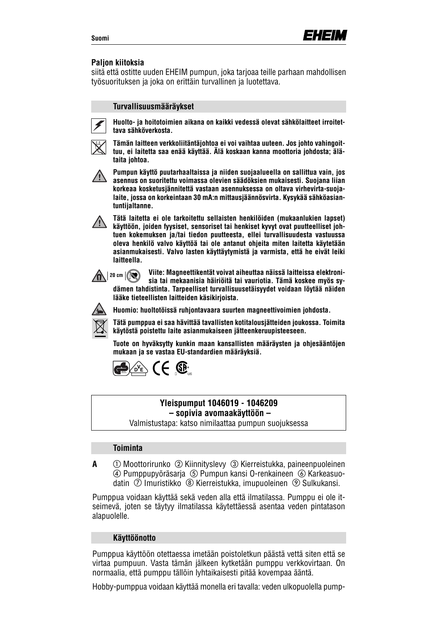#### **Paljon kiitoksia**

siitä että ostitte uuden EHEIM pumpun, joka tarjoaa teille parhaan mahdollisen työsuorituksen ja joka on erittäin turvallinen ja luotettava.

#### **Turvallisuusmääräykset**



**Huolto- ja hoitotoimien aikana on kaikki vedessä olevat sähkölaitteet irroitettava sähköverkosta.**



**Tämän laitteen verkkoliitäntäjohtoa ei voi vaihtaa uuteen. Jos johto vahingoittuu, ei laitetta saa enää käyttää. Älä koskaan kanna moottoria johdosta; älätaita johtoa.**



**Pumpun käyttö puutarhaaltaissa ja niiden suojaalueella on sallittua vain, jos asennus on suoritettu voimassa olevien säädöksien mukaisesti. Suojana liian korkeaa kosketusjännitettä vastaan asennuksessa on oltava virhevirta-suojalaite, jossa on korkeintaan 30 mA:n mittausjäännösvirta. Kysykää sähköasiantuntijaltanne.**



**Tätä laitetta ei ole tarkoitettu sellaisten henkilöiden (mukaanlukien lapset) käyttöön, joiden fyysiset, sensoriset tai henkiset kyvyt ovat puutteelliset johtuen kokemuksen ja/tai tiedon puutteesta, ellei turvallisuudesta vastuussa oleva henkilö valvo käyttöä tai ole antanut ohjeita miten laitetta käytetään asianmukaisesti. Valvo lasten käyttäytymistä ja varmista, että he eivät leiki laitteella.**

**Viite: Magneettikentät voivat aiheuttaa näissä laitteissa elektronisia tai mekaanisia häiriöitä tai vauriotia. Tämä koskee myös sydämen tahdistinta. Tarpeelliset turvallisuusetäisyydet voidaan löytää näiden lääke tieteellisten laitteiden käsikirjoista.**  $\mathbf{R}$  | 20 cm  $|\mathbf{R}|$ 



**Huomio: huoltotöissä ruhjontavaara suurten magneettivoimien johdosta.**

**Tätä pumppua ei saa hävittää tavallisten kotitalousjätteiden joukossa. Toimita käytöstä poistettu laite asianmukaiseen jätteenkeruupisteeseen.**

**Tuote on hyväksytty kunkin maan kansallisten määräysten ja ohjesääntöjen mukaan ja se vastaa EU-standardien määräyksiä.**



#### **Yleispumput 1046019 - 1046209 – sopivia avomaakäyttöön –**

Valmistustapa: katso nimilaattaa pumpun suojuksessa

#### **Toiminta**

**A** ① Moottorirunko ② Kiinnityslevy ③ Kierreistukka, paineenpuoleinen Pumppupyöräsarja Pumpun kansi O-renkaineen Karkeasuodatin  $\oslash$  Imuristikko  $\oslash$  Kierreistukka, imupuoleinen  $\oslash$  Sulkukansi.

Pumppua voidaan käyttää sekä veden alla että ilmatilassa. Pumppu ei ole itseimevä, joten se täytyy ilmatilassa käytettäessä asentaa veden pintatason alapuolelle.

#### **Käyttöönotto**

Pumppua käyttöön otettaessa imetään poistoletkun päästä vettä siten että se virtaa pumpuun. Vasta tämän jälkeen kytketään pumppu verkkovirtaan. On normaalia, että pumppu tällöin lyhtaikaisesti pitää kovempaa ääntä.

Hobby-pumppua voidaan käyttää monella eri tavalla: veden ulkopuolella pump-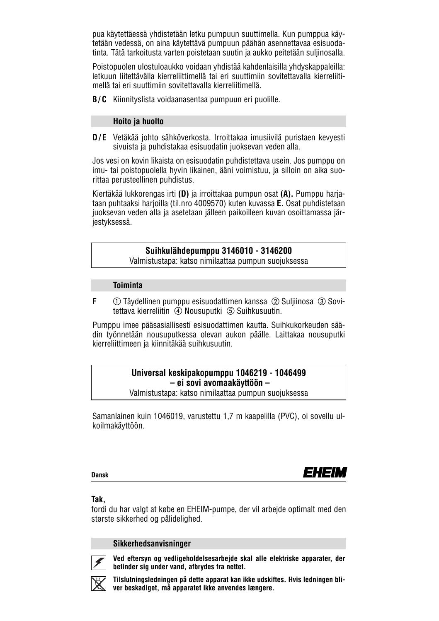pua käytettäessä yhdistetään letku pumpuun suuttimella. Kun pumppua käytetään vedessä, on aina käytettävä pumpuun päähän asennettavaa esisuodatinta. Tätä tarkoitusta varten poistetaan suutin ja aukko peitetään suljinosalla.

Poistopuolen ulostuloaukko voidaan yhdistää kahdenlaisilla yhdyskappaleilla: letkuun liitettävälla kierreliittimellä tai eri suuttimiin sovitettavalla kierreliitimellä tai eri suuttimiin sovitettavalla kierreliitimellä.

**B/C** Kiinnityslista voidaanasentaa pumpuun eri puolille.

#### **Hoito ja huolto**

**D/E** Vetäkää johto sähköverkosta. Irroittakaa imusiivilä puristaen kevyesti sivuista ja puhdistakaa esisuodatin juoksevan veden alla.

Jos vesi on kovin likaista on esisuodatin puhdistettava usein. Jos pumppu on imu- tai poistopuolella hyvin likainen, ääni voimistuu, ja silloin on aika suorittaa perusteellinen puhdistus.

Kiertäkää lukkorengas irti **(D)** ja irroittakaa pumpun osat **(A).** Pumppu harjataan puhtaaksi harjoilla (til.nro 4009570) kuten kuvassa **E.** Osat puhdistetaan juoksevan veden alla ja asetetaan jälleen paikoilleen kuvan osoittamassa järjestyksessä.

#### **Suihkulähdepumppu 3146010 - 3146200**

Valmistustapa: katso nimilaattaa pumpun suojuksessa

#### **Toiminta**

**F**  $\circ$   $\circ$  Täydellinen pumppu esisuodattimen kanssa  $\circled2$  Suljiinosa  $\circled3$  Sovitettava kierreliitin 4 Nousuputki 5 Suihkusuutin.

Pumppu imee pääsasiallisesti esisuodattimen kautta. Suihkukorkeuden säädin työnnetään nousuputkessa olevan aukon päälle. Laittakaa nousuputki kierreliittimeen ja kiinnitäkää suihkusuutin.

#### **Universal keskipakopumppu 1046219 - 1046499 – ei sovi avomaakäyttöön –** Valmistustapa: katso nimilaattaa pumpun suojuksessa

Samanlainen kuin 1046019, varustettu 1,7 m kaapelilla (PVC), oi sovellu ulkoilmakäyttöön.

#### **Dansk**



#### **Tak,**

fordi du har valgt at købe en EHEIM-pumpe, der vil arbejde optimalt med den største sikkerhed og pålidelighed.

#### **Sikkerhedsanvisninger**



**Ved eftersyn og vedligeholdelsesarbejde skal alle elektriske apparater, der befinder sig under vand, afbrydes fra nettet.**

**Tilslutningsledningen på dette apparat kan ikke udskiftes. Hvis ledningen bliver beskadiget, må apparatet ikke anvendes længere.**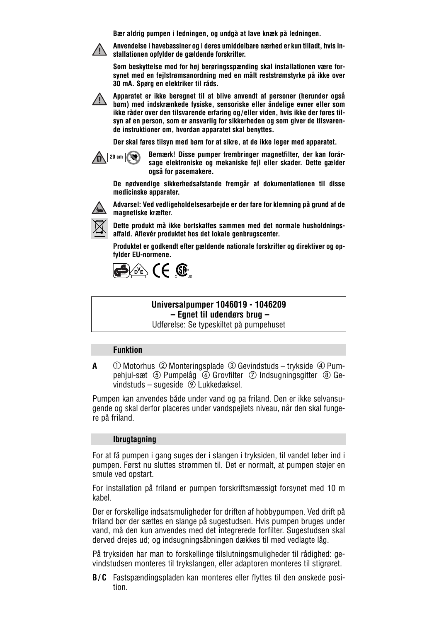**Bær aldrig pumpen i ledningen, og undgå at lave knæk på ledningen.**



**Anvendelse i havebassiner og i deres umiddelbare nærhed er kun tilladt, hvis installationen opfylder de gældende forskrifter.**

**Som beskyttelse mod for høj berøringsspænding skal installationen være forsynet med en fejlstrømsanordning med en målt reststrømstyrke på ikke over 30 mA. Spørg en elektriker til råds.**

**Apparatet er ikke beregnet til at blive anvendt af personer (herunder også børn) med indskrænkede fysiske, sensoriske eller åndelige evner eller som ikke råder over den tilsvarende erfaring og/eller viden, hvis ikke der føres tilsyn af en person, som er ansvarlig for sikkerheden og som giver de tilsvarende instruktioner om, hvordan apparatet skal benyttes.**

**Der skal føres tilsyn med børn for at sikre, at de ikke leger med apparatet.**



**Bemærk! Disse pumper frembringer magnetfilter, der kan forårsage elektroniske og mekaniske fejl eller skader. Dette gælder også for pacemakere.**

**De nødvendige sikkerhedsafstande fremgår af dokumentationen til disse medicinske apparater.**



**Advarsel: Ved vedligeholdelsesarbejde er der fare for klemning på grund af de magnetiske kræfter.**

**Dette produkt må ikke bortskaffes sammen med det normale husholdningsaffald. Aflevér produktet hos det lokale genbrugscenter.**

**Produktet er godkendt efter gældende nationale forskrifter og direktiver og opfylder EU-normene.**



#### **Universalpumper 1046019 - 1046209 – Egnet til udendørs brug –**

Udførelse: Se typeskiltet på pumpehuset

#### **Funktion**

**A**  $\circ$  Motorhus  $\circledcirc$  Monteringsplade  $\circledcirc$  Gevindstuds – trykside  $\circledcirc$  Pumpehjul-sæt  $\circled{S}$  Pumpelåg  $\circled{S}$  Grovfilter  $\circled{S}$  Indsugningsgitter  $\circled{S}$  Gevindstuds – sugeside Lukkedæksel.

Pumpen kan anvendes både under vand og pa friland. Den er ikke selvansugende og skal derfor placeres under vandspejlets niveau, når den skal fungere på friland.

#### **Ibrugtagning**

For at fä pumpen i gang suges der i slangen i tryksiden, til vandet løber ind i pumpen. Først nu sluttes strømmen til. Det er normalt, at pumpen støjer en smule ved opstart.

For installation på friland er pumpen forskriftsmæssigt forsynet med 10 m kabel.

Der er forskellige indsatsmuligheder for driften af hobbypumpen. Ved drift på friland bør der sættes en slange på sugestudsen. Hvis pumpen bruges under vand, må den kun anvendes med det integrerede forfilter. Sugestudsen skal derved drejes ud; og indsugningsåbningen dækkes til med vedlagte låg.

På tryksiden har man to forskellinge tilslutningsmuligheder til rådighed: gevindstudsen monteres til trykslangen, eller adaptoren monteres til stigrøret.

**B/C** Fastspændingspladen kan monteres eller flyttes til den ønskede position.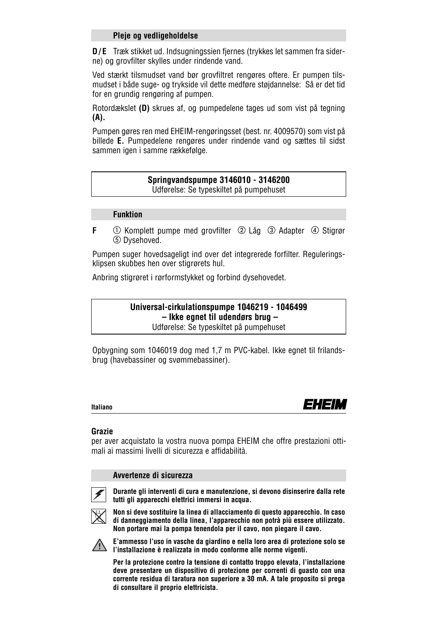#### **Pleje og vedligeholdelse**

**D/E** Træk stikket ud. Indsugningssien fjernes (trykkes let sammen fra siderne) og grovfilter skylles under rindende vand.

Ved stærkt tilsmudset vand bør grovfiltret rengøres oftere. Er pumpen tilsmudset i både suge- og trykside vil dette medføre støjdannelse: Så er det tid for en grundig rengøring af pumpen.

Rotordækslet **(D)** skrues af, og pumpedelene tages ud som vist på tegning **(A).**

Pumpen gøres ren med EHEIM-rengøringsset (best. nr. 4009570) som vist på billede **E.** Pumpedelene rengøres under rindende vand og sættes til sidst sammen igen i samme rækkefølge.

## **Springvandspumpe 3146010 - 3146200**

Udførelse: Se typeskiltet på pumpehuset

#### **Funktion**

**F**  $\odot$  Komplett pumpe med grovfilter  $\oslash$  Låg  $\oslash$  Adapter  $\oslash$  Stigrør Dysehoved.

Pumpen suger hovedsageligt ind over det integrerede forfilter. Reguleringsklipsen skubbes hen over stigrørets hul.

Anbring stigrøret i rørformstykket og forbind dysehovedet.

**Universal-cirkulationspumpe 1046219 - 1046499 – Ikke egnet til udendørs brug –** Udførelse: Se typeskiltet på pumpehuset

Opbygning som 1046019 dog med 1,7 m PVC-kabel. Ikke egnet til frilandsbrug (havebassiner og svømmebassiner).

**Italiano**



#### **Grazie**

per aver acquistato la vostra nuova pompa EHEIM che offre prestazioni ottimali ai massimi livelli di sicurezza e affidabilità.

#### **Avvertenze di sicurezza**



**Durante gli interventi di cura e manutenzione, si devono disinserire dalla rete tutti gli apparecchi elettrici immersi in acqua.**



**Non si deve sostituire la linea di allacciamento di questo apparecchio. In caso di danneggiamento della linea, l'apparecchio non potrà più essere utilizzato. Non portare mai la pompa tenendola per il cavo, non piegare il cavo.**



**E'ammesso l'uso in vasche da giardino e nella loro area di protezione solo se l'installazione è realizzata in modo conforme alle norme vigenti.**

**Per la protezione contro la tensione di contatto troppo elevata, l'installazione deve presentare un dispositivo di protezione per correnti di guasto con una corrente residua di taratura non superiore a 30 mA. A tale proposito si prega di consultare il proprio elettricista.**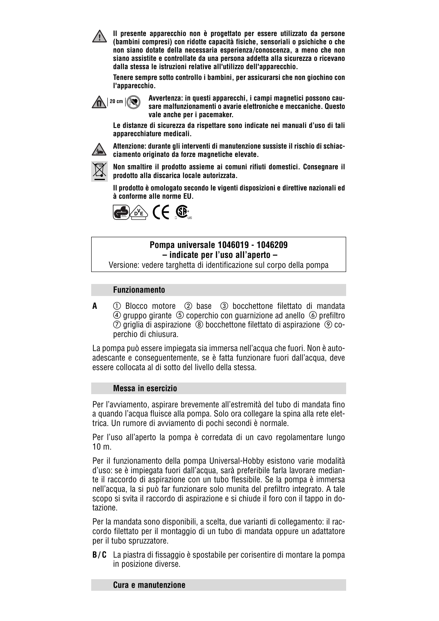**Il presente apparecchio non è progettato per essere utilizzato da persone (bambini compresi) con ridotte capacità fisiche, sensoriali o psichiche o che non siano dotate della necessaria esperienza/conoscenza, a meno che non siano assistite e controllate da una persona addetta alla sicurezza o ricevano dalla stessa le istruzioni relative all'utilizzo dell'apparecchio.**

**Tenere sempre sotto controllo i bambini, per assicurarsi che non giochino con l'apparecchio.**



**Avvertenza: in questi apparecchi, i campi magnetici possono causare malfunzionamenti o avarie elettroniche e meccaniche. Questo vale anche per i pacemaker.**

**Le distanze di sicurezza da rispettare sono indicate nei manuali d'uso di tali apparecchiature medicali.**



**Attenzione: durante gli interventi di manutenzione sussiste il rischio di schiacciamento originato da forze magnetiche elevate.**



**Non smaltire il prodotto assieme ai comuni rifiuti domestici. Consegnare il prodotto alla discarica locale autorizzata.**

**Il prodotto è omologato secondo le vigenti disposizioni e direttive nazionali ed à conforme alle norme EU.**



### **Pompa universale 1046019 - 1046209 – indicate per l'uso all'aperto –**

Versione: vedere targhetta di identificazione sul corpo della pompa

#### **Funzionamento**

**A**  $\circled{1}$  Blocco motore  $\circled{2}$  base  $\circled{3}$  bocchettone filettato di mandata  $\circledA$  gruppo girante  $\circledS$  coperchio con guarnizione ad anello  $\circledS$  prefiltro  $\oslash$  griglia di aspirazione  $\,\circledast$  bocchettone filettato di aspirazione  $\,\circledast$  coperchio di chiusura.

La pompa può essere impiegata sia immersa nell'acqua che fuori. Non è autoadescante e conseguentemente, se è fatta funzionare fuori dall'acqua, deve essere collocata al di sotto del livello della stessa.

#### **Messa in esercizio**

Per l'avviamento, aspirare brevemente all'estremità del tubo di mandata fino a quando l'acqua fluisce alla pompa. Solo ora collegare la spina alla rete elettrica. Un rumore di avviamento di pochi secondi è normale.

Per l'uso all'aperto la pompa è corredata di un cavo regolamentare lungo 10 m.

Per il funzionamento della pompa Universal-Hobby esistono varie modalità d'uso: se è impiegata fuori dall'acqua, sarà preferibile farla lavorare mediante il raccordo di aspirazione con un tubo flessibile. Se la pompa è immersa nell'acqua, la si può far funzionare solo munita del prefiltro integrato. A tale scopo si svita il raccordo di aspirazione e si chiude il foro con il tappo in dotazione.

Per la mandata sono disponibili, a scelta, due varianti di collegamento: il raccordo filettato per il montaggio di un tubo di mandata oppure un adattatore per il tubo spruzzatore.

**B/C** La piastra di fissaggio è spostabile per corisentire di montare la pompa in posizione diverse.

#### **Cura e manutenzione**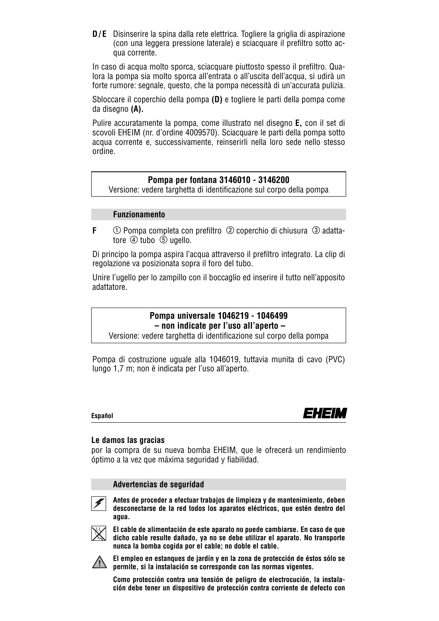**D/E** Disinserire la spina dalla rete elettrica. Togliere la griglia di aspirazione (con una leggera pressione laterale) e sciacquare il prefiltro sotto acqua corrente.

In caso di acqua molto sporca, sciacquare piuttosto spesso il prefiltro. Qualora la pompa sia molto sporca all'entrata o all'uscita dell'acqua, si udirà un forte rumore: segnale, questo, che la pompa necessità di un'accurata pulizia.

Sbloccare il coperchio della pompa **(D)** e togliere le parti della pompa come da disegno **(A).**

Pulire accuratamente la pompa, come illustrato nel disegno **E,** con il set di scovoli EHEIM (nr. d'ordine 4009570). Sciacquare le parti della pompa sotto acqua corrente e, successivamente, reinserirli nella loro sede nello stesso ordine.

#### **Pompa per fontana 3146010 - 3146200**

Versione: vedere targhetta di identificazione sul corpo della pompa

#### **Funzionamento**

**F**  $\bigcirc$  Pompa completa con prefiltro  $\oslash$  coperchio di chiusura  $\oslash$  adattatore  $\overline{4}$  tubo  $\overline{5}$  ugello.

Di principo la pompa aspira l'acqua attraverso il prefiltro integrato. La clip di regolazione va posizionata sopra il foro del tubo.

Unire l'ugello per lo zampillo con il boccaglio ed inserire il tutto nell'apposito adattatore.

## **Pompa universale 1046219 - 1046499 – non indicate per l'uso all'aperto –**

Versione: vedere targhetta di identificazione sul corpo della pompa

Pompa di costruzione uguale alla 1046019, tuttavia munita di cavo (PVC) lungo 1,7 m; non è indicata per l'uso all'aperto.

#### **Español**



#### **Le damos las gracias**

por la compra de su nueva bomba EHEIM, que le ofrecerá un rendimiento óptimo a la vez que máxima seguridad y fiabilidad.

#### **Advertencias de seguridad**



**Antes de proceder a efectuar trabajos de limpieza y de mantenimiento, deben desconectarse de la red todos los aparatos eléctricos, que estén dentro del agua.**



**El cable de alimentación de este aparato no puede cambiarse. En caso de que dicho cable resulte dañado, ya no se debe utilizar el aparato. No transporte nunca la bomba cogida por el cable; no doble el cable.**



**El empleo en estanques de jardín y en la zona de protección de éstos sólo se permite, si la instalación se corresponde con las normas vigentes.**

**Como protección contra una tensión de peligro de electrocución, la instalación debe tener un dispositivo de protección contra corriente de defecto con**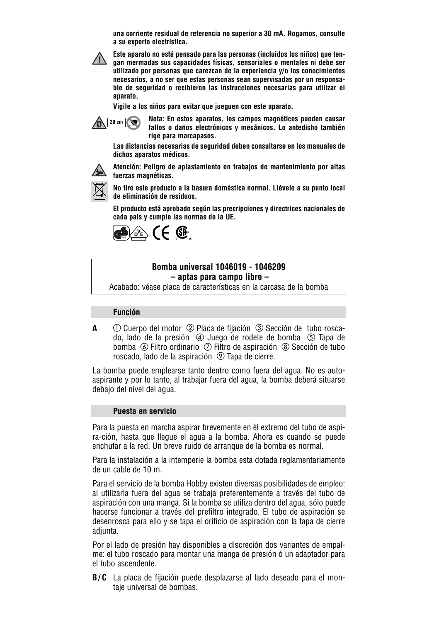**una corriente residual de referencia no superior a 30 mA. Rogamos, consulte a su experto electristica.**



**Este aparato no está pensado para las personas (incluidos los niños) que tengan mermadas sus capacidades físicas, sensoriales o mentales ni debe ser utilizado por personas que carezcan de la experiencia y/o los conocimientos necesarios, a no ser que estas personas sean supervisadas por un responsable de seguridad o recibieron las instrucciones necesarias para utilizar el aparato.**

**Vigile a los niños para evitar que jueguen con este aparato.**



**Nota: En estos aparatos, los campos magnéticos pueden causar fallos o daños electrónicos y mecánicos. Lo antedicho también rige para marcapasos.**

**Las distancias necesarias de seguridad deben consultarse en los manuales de dichos aparatos médicos.**



**Atención: Peligro de aplastamiento en trabajos de mantenimiento por altas fuerzas magnéticas.**



**No tire este producto a la basura doméstica normal. Llévelo a su punto local de eliminación de residuos.**

**El producto está aprobado según las precripciones y directrices nacionales de cada país y cumple las normas de la UE.**



#### **Bomba universal 1046019 - 1046209 – aptas para campo libre –**

Acabado: véase placa de características en la carcasa de la bomba

#### **Función**

**A**  $\bigcirc$  Cuerpo del motor  $\oslash$  Placa de fijación  $\oslash$  Sección de tubo roscado, lado de la presión  $\circled{4}$  Juego de rodete de bomba  $\circled{5}$  Tapa de bomba  $\circledR$  Filtro ordinario  $\circledR$  Filtro de aspiración  $\circledR$  Sección de tubo roscado, lado de la aspiración <sup>®</sup> Tapa de cierre.

La bomba puede emplearse tanto dentro como fuera del agua. No es autoaspirante y por lo tanto, al trabajar fuera del agua, la bomba deberá situarse debajo del nivel del agua.

#### **Puesta en servicio**

Para la puesta en marcha aspirar brevemente en èl extremo del tubo de aspira-ción, hasta que llegue el agua a la bomba. Ahora es cuando se puede enchufar a la red. Un breve ruido de arranque de la bomba es normal.

Para la instalación a la intemperie la bomba esta dotada reglamentariamente de un cable de 10 m.

Para el servicio de la bomba Hobby existen diversas posibilidades de empleo: al utilizarla fuera del agua se trabaja preferentemente a través del tubo de aspiración con una manga. Si la bomba se utiliza dentro del agua, sólo puede hacerse funcionar a través del prefiltro integrado. El tubo de aspiración se desenrosca para ello y se tapa el orificio de aspiración con la tapa de cierre adiunta.

Por el lado de presión hay disponibles a discreción dos variantes de empalme: el tubo roscado para montar una manga de presión ó un adaptador para el tubo ascendente.

**B/C** La placa de fijación puede desplazarse al lado deseado para el montaje universal de bombas.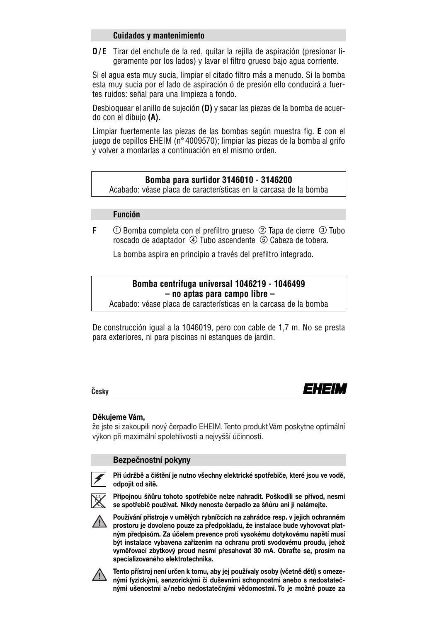#### **Cuidados y mantenimiento**

**D/E** Tirar del enchufe de la red, quitar la rejilla de aspiración (presionar ligeramente por los lados) y lavar el filtro grueso bajo agua corriente.

Si el agua esta muy sucia, limpiar el citado filtro más a menudo. Si la bomba esta muy sucia por el lado de aspiración ó de presión ello conducirá a fuertes ruidos: señal para una limpieza a fondo.

Desbloquear el anillo de sujeción **(D)** y sacar las piezas de la bomba de acuerdo con el dibujo **(A).**

Limpiar fuertemente las piezas de las bombas según muestra fig. **E** con el juego de cepillos EHEIM (n° 4009570); limpiar las piezas de la bomba al grifo y volver a montarlas a continuación en el mismo orden.

#### **Bomba para surtidor 3146010 - 3146200**

Acabado: véase placa de características en la carcasa de la bomba

#### **Función**

**F**  $\bigcirc$  Bomba completa con el prefiltro grueso  $\oslash$  Tapa de cierre  $\oslash$  Tubo roscado de adaptador (4) Tubo ascendente (5) Cabeza de tobera.

La bomba aspira en principio a través del prefiltro integrado.

## **Bomba centrifuga universal 1046219 - 1046499 – no aptas para campo libre –**

Acabado: véase placa de características en la carcasa de la bomba

De construcción igual a la 1046019, pero con cable de 1,7 m. No se presta para exteriores, ni para piscinas ni estanques de jardin.

#### **Cˇesky**

## EHEIM

#### **Děkujeme Vám,**

že jste si zakoupili nový čerpadlo EHEIM. Tento produkt Vám poskytne optimální výkon při maximální spolehlivosti a nejvyšší účinnosti.

#### **Bezpečnostní pokyny**



**Při údržbě a čištění je nutno všechny elektrické spotřebiče, které jsou ve vodě, odpojit od sítě.**



**Přípojnou šňůru tohoto spotřebiče nelze nahradit. Poškodíli se přívod, nesmí se spotřebič používat. Nikdy nenoste čerpadlo za šňůru ani ji nelámejte.**



**Používání přístroje v umělých rybníčcích na zahrádce resp. v jejich ochranném prostoru je dovoleno pouze za předpokladu, že instalace bude vyhovovat platným předpisům. Za účelem prevence proti vysokému dotykovému napětí musí být instalace vybavena zařízením na ochranu proti svodovému proudu, jehož vyměřovací zbytkový proud nesmí přesahovat 30 mA. Obraťte se, prosím na specializovaného elektrotechnika.**



**Tento přístroj není určen k tomu, aby jej používaly osoby (včetně dětí) s omezenými fyzickými, senzorickými či duševními schopnostmi anebo s nedostatečnými ušenostmi a/nebo nedostatečnými vědomostmi. To je možné pouze za**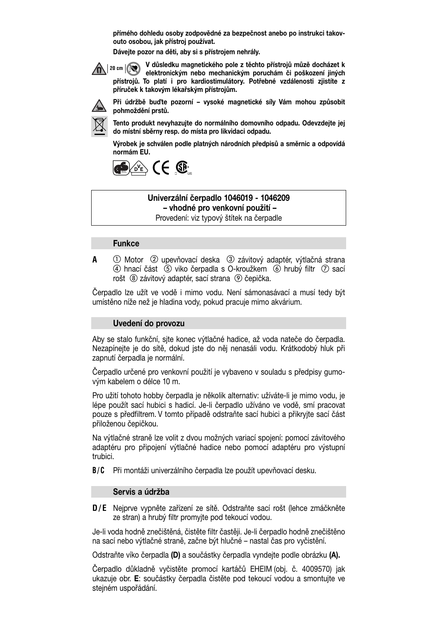**přímého dohledu osoby zodpovědné za bezpečnost anebo po instrukci takovouto osobou, jak přístroj používat.**

**Dávejte pozor na děti, aby si s přístrojem nehrály.**

**V důsledku magnetického pole z těchto přístrojů můzě docházet k elektronickým nebo mechanickým poruchám či poškození jiných 20 cm přístrojů. To platí i pro kardiostimulátory. Potřebné vzdálenosti zjistíte z příruček k takovým lékařským přístrojům.**



**Při údržbě buďte pozorní – vysoké magnetické síly Vám mohou způsobit pohmoždění prstů.**

**Tento produkt nevyhazujte do normálního domovního odpadu. Odevzdejte jej do místní sběrny resp. do místa pro likvidaci odpadu.**

**Výrobek je schválen podle platných národních předpisů a směrnic a odpovídá normám EU.**



#### **Univerzální čerpadlo 1046019 - 1046209 – vhodné pro venkovní použití –**

Provedení: viz typový štítek na čerpadle

#### **Funkce**

**A**  $\odot$  Motor  $\oslash$  upevňovací deska  $\oslash$  závitový adaptér, výtlačná strana  $\Phi$  hnací část  $\Phi$  viko čerpadla s O-kroužkem  $\Phi$  hrubý filtr  $\Phi$  sací rošt ® závitový adaptér, sací strana ® čepička.

Čerpadlo lze užít ve vodě i mimo vodu. Není sámonasávací a musí tedy být umístěno níže než je hladina vody, pokud pracuje mimo akvárium.

#### **Uvedení do provozu**

Aby se stalo funkční, sjte konec výtlačné hadice, až voda nateče do čerpadla. Nezapínejte je do sítě, dokud jste do něj nenasáli vodu. Krátkodobý hluk při zapnutí čerpadla je normální.

Čerpadlo určené pro venkovní použití je vybaveno v souladu s předpisy gumovým kabelem o délce 10 m.

Pro užití tohoto hobby čerpadla je několik alternativ: užíváte-li je mimo vodu, je lépe použít sací hubici s hadicí. Je-li čerpadlo užíváno ve vodě, smí pracovat pouze s předfiltrem. V tomto případě odstraňte sací hubici a přikryjte sací část přiloženou čepičkou.

Na výtlačné straně lze volit z dvou možných variací spojení: pomocí závitového adaptéru pro připojení výtlačné hadice nebo pomocí adaptéru pro výstupní trubici.

**B/C** Při montáži univerzálního čerpadla lze použít upevňovací desku.

#### **Servis a údržba**

**D/E** Nejprve vypněte zařízení ze sítě. Odstraňte sací rošt (lehce zmáčkněte ze stran) a hrubý filtr promyjte pod tekoucí vodou.

Je-li voda hodně znečištěná, čistěte filtr častěji. Je-li čerpadlo hodně znečištěno na sací nebo výtlačné straně, začne být hlučné – nastal čas pro vyčistění.

Odstraňte víko čerpadla **(D)** a součástky čerpadla vyndejte podle obrázku **(A).**

Čerpadlo důkladně vyčistěte promocí kartáčů EHEIM (obj. č. 4009570) jak ukazuje obr. **E**: součástky čerpadla čistěte pod tekoucí vodou a smontujte ve stejném uspořádání.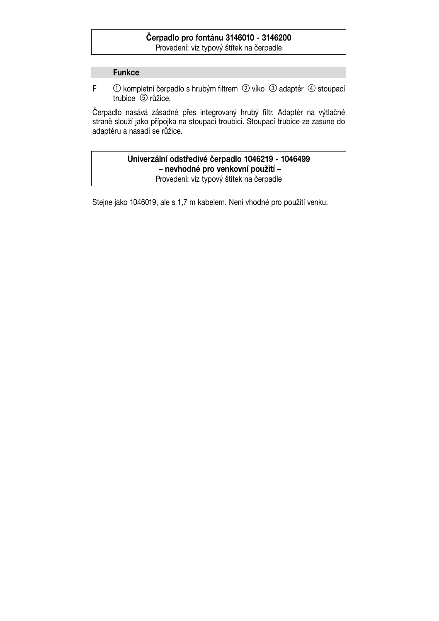## **Čerpadlo pro fontánu 3146010 - 3146200**

Provedení: viz typový štítek na čerpadle

#### **Funkce**

**F** ① kompletní čerpadlo s hrubým filtrem ② víko ③ adaptér ④ stoupací trubice 5 růžice.

Čerpadlo nasává zásadně přes integrovaný hrubý filtr. Adaptér na výtlačné straně slouží jako přípojka na stoupací troubici. Stoupací trubice ze zasune do adaptéru a nasadí se růžice.

## **Univerzální odstředivé čerpadlo 1046219 - 1046499 – nevhodné pro venkovní použití –**

Provedení: viz typový štítek na čerpadle

Stejne jako 1046019, ale s 1,7 m kabelem. Není vhodné pro použití venku.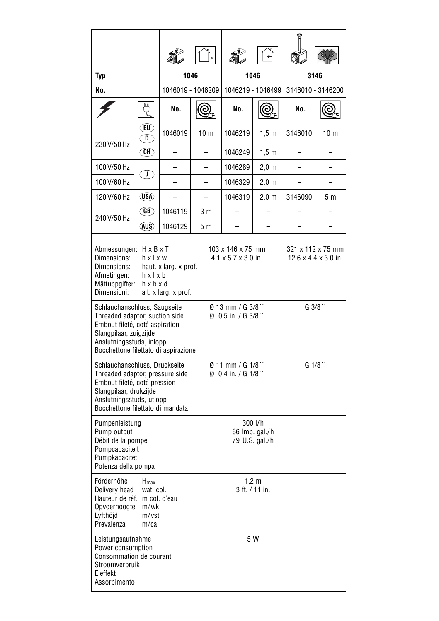| Typ                                                                                                                                                                                                                                                                                                   |                                                           | 1046                                        |                                                  | 1046              |                 | 3146              |                 |  |  |
|-------------------------------------------------------------------------------------------------------------------------------------------------------------------------------------------------------------------------------------------------------------------------------------------------------|-----------------------------------------------------------|---------------------------------------------|--------------------------------------------------|-------------------|-----------------|-------------------|-----------------|--|--|
| No.                                                                                                                                                                                                                                                                                                   |                                                           | 1046019 - 1046209                           |                                                  | 1046219 - 1046499 |                 | 3146010 - 3146200 |                 |  |  |
|                                                                                                                                                                                                                                                                                                       | Ų                                                         | No.                                         | ල                                                | No.               | (©              | No.               | (©              |  |  |
| 230 V/50 Hz                                                                                                                                                                                                                                                                                           | `EU`)<br>D                                                | 1046019                                     | 10 <sub>m</sub>                                  | 1046219           | $1,5 \; m$      | 3146010           | 10 <sub>m</sub> |  |  |
|                                                                                                                                                                                                                                                                                                       | (CH)                                                      | $\overline{\phantom{0}}$                    | $\overline{a}$                                   | 1046249           | 1,5 m           |                   |                 |  |  |
| 100 V/50 Hz                                                                                                                                                                                                                                                                                           | ์ J )                                                     |                                             |                                                  | 1046289           | $2,0 \text{ m}$ |                   |                 |  |  |
| 100 V/60 Hz                                                                                                                                                                                                                                                                                           |                                                           |                                             |                                                  | 1046329           | 2,0 m           |                   |                 |  |  |
| 120 V/60 Hz                                                                                                                                                                                                                                                                                           | (USA)                                                     |                                             |                                                  | 1046319           | $2,0 \text{ m}$ | 3146090           | 5 m             |  |  |
| 240 V/50 Hz                                                                                                                                                                                                                                                                                           | (GB)                                                      | 1046119                                     | 3 m                                              |                   |                 |                   |                 |  |  |
|                                                                                                                                                                                                                                                                                                       | (AUS)                                                     | 1046129                                     | 5 m                                              |                   |                 |                   |                 |  |  |
| Abmessungen: H x B x T<br>103 x 146 x 75 mm<br>321 x 112 x 75 mm<br>$4.1 \times 5.7 \times 3.0$ in.<br>$12.6 \times 4.4 \times 3.0$ in.<br>Dimensions:<br>hxlxw<br>Dimensions:<br>haut. x larg. x prof.<br>Afmetingen:<br>hxlxb<br>Måttuppgifter:<br>h x b x d<br>Dimensioni:<br>alt. x larg. x prof. |                                                           |                                             |                                                  |                   |                 |                   |                 |  |  |
| Schlauchanschluss, Saugseite<br>Threaded adaptor, suction side<br>Embout fileté, coté aspiration<br>Slangpilaar, zuigzijde<br>Anslutningsstuds, inlopp<br>Bocchettone filettato di aspirazione                                                                                                        |                                                           |                                             | Ø 13 mm / G 3/8"<br>$\emptyset$ 0.5 in. / G 3/8" |                   | G 3/8"          |                   |                 |  |  |
| G 1/8"<br>$\emptyset$ 11 mm / G 1/8 $^{\prime\prime}$<br>Schlauchanschluss, Druckseite<br>$\emptyset$ 0.4 in. / G 1/8"<br>Threaded adaptor, pressure side<br>Embout fileté, coté pression<br>Slangpilaar, drukzijde<br>Anslutningsstuds, utlopp<br>Bocchettone filettato di mandata                   |                                                           |                                             |                                                  |                   |                 |                   |                 |  |  |
| Pumpenleistung<br>Pump output<br>Débit de la pompe<br>Pompcapaciteit<br>Pumpkapacitet<br>Potenza della pompa                                                                                                                                                                                          |                                                           | 300 I/h<br>66 Imp. gal./h<br>79 U.S. gal./h |                                                  |                   |                 |                   |                 |  |  |
| Förderhöhe<br>Delivery head<br>Hauteur de réf. m col. d'eau<br>Opvoerhoogte<br>Lyfthöjd<br>Prevalenza                                                                                                                                                                                                 | $H_{\text{max}}$<br>wat. col.<br>m/wk<br>m/vst<br>$m$ /ca | $1,2 \, m$<br>3 ft. / 11 in.                |                                                  |                   |                 |                   |                 |  |  |
| 5 W<br>Leistungsaufnahme<br>Power consumption<br>Consommation de courant<br>Stroomverbruik<br>Eleffekt<br>Assorbimento                                                                                                                                                                                |                                                           |                                             |                                                  |                   |                 |                   |                 |  |  |